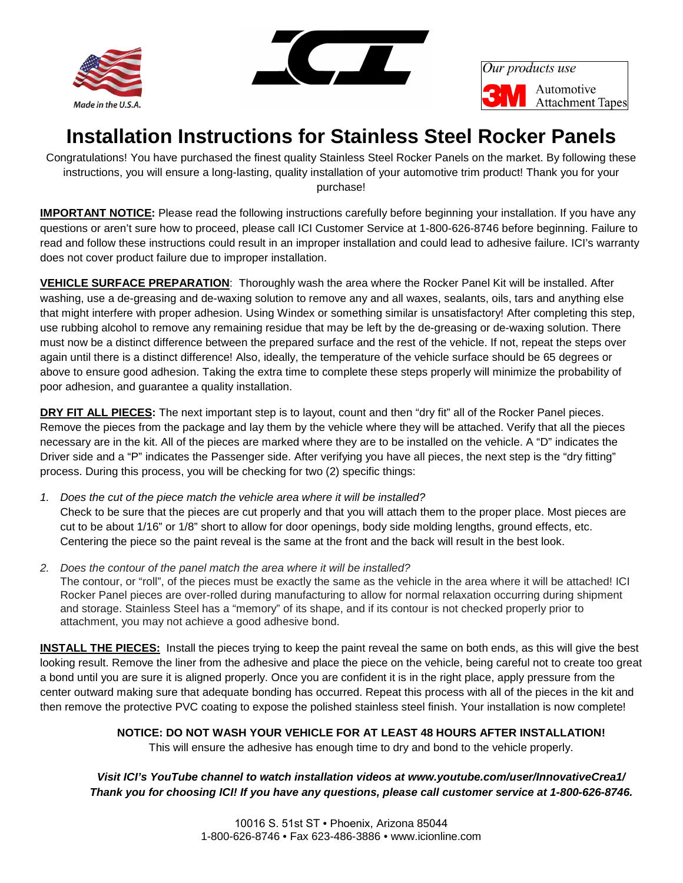



Our products use Automotive **Attachment Tapes** 

## **Installation Instructions for Stainless Steel Rocker Panels**

Congratulations! You have purchased the finest quality Stainless Steel Rocker Panels on the market. By following these instructions, you will ensure a long-lasting, quality installation of your automotive trim product! Thank you for your purchase!

**IMPORTANT NOTICE:** Please read the following instructions carefully before beginning your installation. If you have any questions or aren't sure how to proceed, please call ICI Customer Service at 1-800-626-8746 before beginning. Failure to read and follow these instructions could result in an improper installation and could lead to adhesive failure. ICI's warranty does not cover product failure due to improper installation.

**VEHICLE SURFACE PREPARATION**: Thoroughly wash the area where the Rocker Panel Kit will be installed. After washing, use a de-greasing and de-waxing solution to remove any and all waxes, sealants, oils, tars and anything else that might interfere with proper adhesion. Using Windex or something similar is unsatisfactory! After completing this step, use rubbing alcohol to remove any remaining residue that may be left by the de-greasing or de-waxing solution. There must now be a distinct difference between the prepared surface and the rest of the vehicle. If not, repeat the steps over again until there is a distinct difference! Also, ideally, the temperature of the vehicle surface should be 65 degrees or above to ensure good adhesion. Taking the extra time to complete these steps properly will minimize the probability of poor adhesion, and guarantee a quality installation.

**DRY FIT ALL PIECES:** The next important step is to layout, count and then "dry fit" all of the Rocker Panel pieces. Remove the pieces from the package and lay them by the vehicle where they will be attached. Verify that all the pieces necessary are in the kit. All of the pieces are marked where they are to be installed on the vehicle. A "D" indicates the Driver side and a "P" indicates the Passenger side. After verifying you have all pieces, the next step is the "dry fitting" process. During this process, you will be checking for two (2) specific things:

- *1. Does the cut of the piece match the vehicle area where it will be installed?* Check to be sure that the pieces are cut properly and that you will attach them to the proper place. Most pieces are cut to be about 1/16" or 1/8" short to allow for door openings, body side molding lengths, ground effects, etc. Centering the piece so the paint reveal is the same at the front and the back will result in the best look.
- *2. Does the contour of the panel match the area where it will be installed?* The contour, or "roll", of the pieces must be exactly the same as the vehicle in the area where it will be attached! ICI Rocker Panel pieces are over-rolled during manufacturing to allow for normal relaxation occurring during shipment and storage. Stainless Steel has a "memory" of its shape, and if its contour is not checked properly prior to attachment, you may not achieve a good adhesive bond.

**INSTALL THE PIECES:** Install the pieces trying to keep the paint reveal the same on both ends, as this will give the best looking result. Remove the liner from the adhesive and place the piece on the vehicle, being careful not to create too great a bond until you are sure it is aligned properly. Once you are confident it is in the right place, apply pressure from the center outward making sure that adequate bonding has occurred. Repeat this process with all of the pieces in the kit and then remove the protective PVC coating to expose the polished stainless steel finish. Your installation is now complete!

## **NOTICE: DO NOT WASH YOUR VEHICLE FOR AT LEAST 48 HOURS AFTER INSTALLATION!**

This will ensure the adhesive has enough time to dry and bond to the vehicle properly.

## *Visit ICI's YouTube channel to watch installation videos at www.youtube.com/user/InnovativeCrea1/ Thank you for choosing ICI! If you have any questions, please call customer service at 1-800-626-8746.*